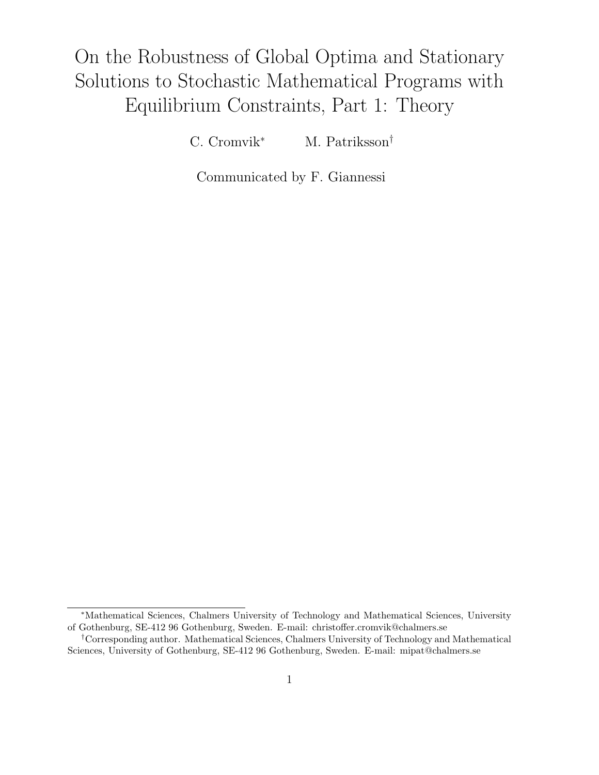# On the Robustness of Global Optima and Stationary Solutions to Stochastic Mathematical Programs with Equilibrium Constraints, Part 1: Theory

C. Cromvik<sup>∗</sup> M. Patriksson†

Communicated by F. Giannessi

<sup>∗</sup>Mathematical Sciences, Chalmers University of Technology and Mathematical Sciences, University of Gothenburg, SE-412 96 Gothenburg, Sweden. E-mail: christoffer.cromvik@chalmers.se

<sup>†</sup>Corresponding author. Mathematical Sciences, Chalmers University of Technology and Mathematical Sciences, University of Gothenburg, SE-412 96 Gothenburg, Sweden. E-mail: mipat@chalmers.se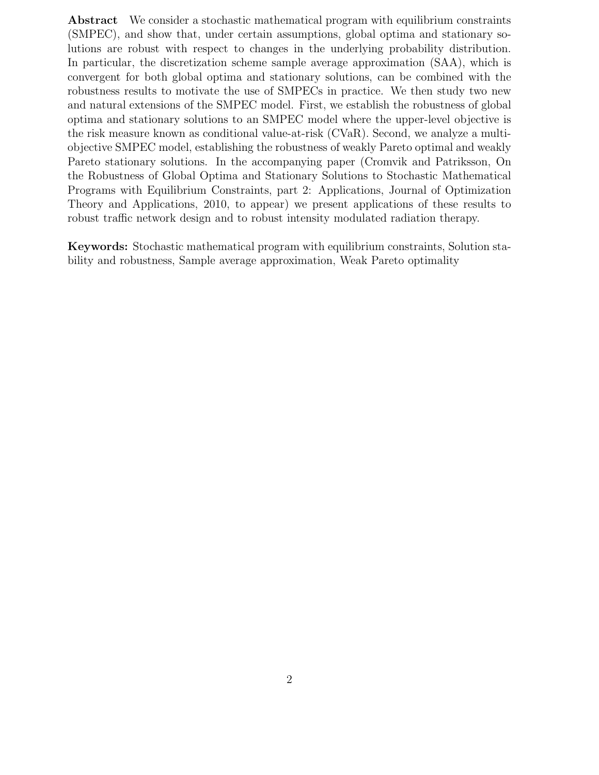Abstract We consider a stochastic mathematical program with equilibrium constraints (SMPEC), and show that, under certain assumptions, global optima and stationary solutions are robust with respect to changes in the underlying probability distribution. In particular, the discretization scheme sample average approximation (SAA), which is convergent for both global optima and stationary solutions, can be combined with the robustness results to motivate the use of SMPECs in practice. We then study two new and natural extensions of the SMPEC model. First, we establish the robustness of global optima and stationary solutions to an SMPEC model where the upper-level objective is the risk measure known as conditional value-at-risk (CVaR). Second, we analyze a multiobjective SMPEC model, establishing the robustness of weakly Pareto optimal and weakly Pareto stationary solutions. In the accompanying paper (Cromvik and Patriksson, On the Robustness of Global Optima and Stationary Solutions to Stochastic Mathematical Programs with Equilibrium Constraints, part 2: Applications, Journal of Optimization Theory and Applications, 2010, to appear) we present applications of these results to robust traffic network design and to robust intensity modulated radiation therapy.

Keywords: Stochastic mathematical program with equilibrium constraints, Solution stability and robustness, Sample average approximation, Weak Pareto optimality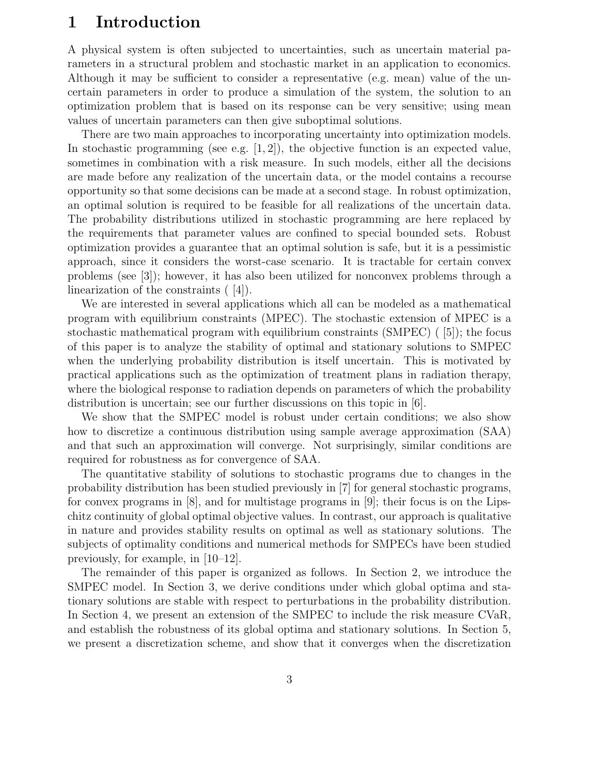# 1 Introduction

A physical system is often subjected to uncertainties, such as uncertain material parameters in a structural problem and stochastic market in an application to economics. Although it may be sufficient to consider a representative (e.g. mean) value of the uncertain parameters in order to produce a simulation of the system, the solution to an optimization problem that is based on its response can be very sensitive; using mean values of uncertain parameters can then give suboptimal solutions.

There are two main approaches to incorporating uncertainty into optimization models. In stochastic programming (see e.g.  $[1, 2]$ ), the objective function is an expected value, sometimes in combination with a risk measure. In such models, either all the decisions are made before any realization of the uncertain data, or the model contains a recourse opportunity so that some decisions can be made at a second stage. In robust optimization, an optimal solution is required to be feasible for all realizations of the uncertain data. The probability distributions utilized in stochastic programming are here replaced by the requirements that parameter values are confined to special bounded sets. Robust optimization provides a guarantee that an optimal solution is safe, but it is a pessimistic approach, since it considers the worst-case scenario. It is tractable for certain convex problems (see [3]); however, it has also been utilized for nonconvex problems through a linearization of the constraints ( [4]).

We are interested in several applications which all can be modeled as a mathematical program with equilibrium constraints (MPEC). The stochastic extension of MPEC is a stochastic mathematical program with equilibrium constraints (SMPEC) ( [5]); the focus of this paper is to analyze the stability of optimal and stationary solutions to SMPEC when the underlying probability distribution is itself uncertain. This is motivated by practical applications such as the optimization of treatment plans in radiation therapy, where the biological response to radiation depends on parameters of which the probability distribution is uncertain; see our further discussions on this topic in [6].

We show that the SMPEC model is robust under certain conditions; we also show how to discretize a continuous distribution using sample average approximation (SAA) and that such an approximation will converge. Not surprisingly, similar conditions are required for robustness as for convergence of SAA.

The quantitative stability of solutions to stochastic programs due to changes in the probability distribution has been studied previously in [7] for general stochastic programs, for convex programs in [8], and for multistage programs in [9]; their focus is on the Lipschitz continuity of global optimal objective values. In contrast, our approach is qualitative in nature and provides stability results on optimal as well as stationary solutions. The subjects of optimality conditions and numerical methods for SMPECs have been studied previously, for example, in [10–12].

The remainder of this paper is organized as follows. In Section 2, we introduce the SMPEC model. In Section 3, we derive conditions under which global optima and stationary solutions are stable with respect to perturbations in the probability distribution. In Section 4, we present an extension of the SMPEC to include the risk measure CVaR, and establish the robustness of its global optima and stationary solutions. In Section 5, we present a discretization scheme, and show that it converges when the discretization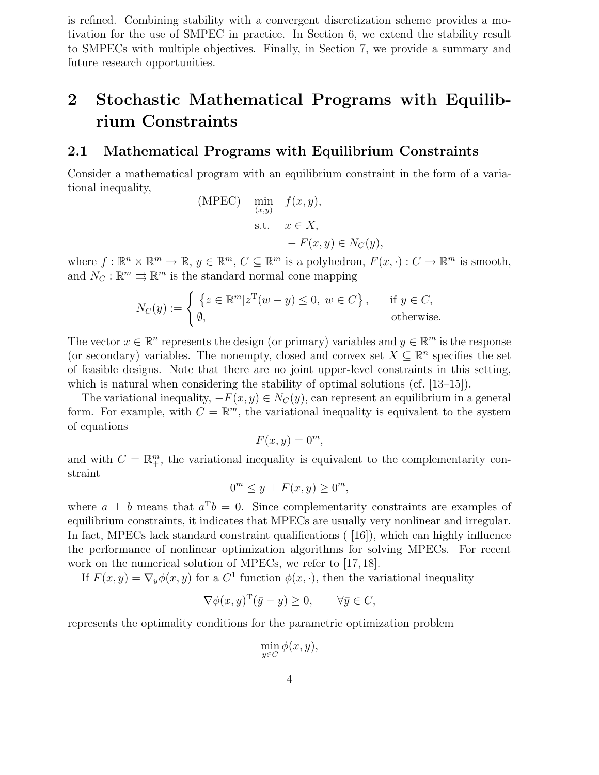is refined. Combining stability with a convergent discretization scheme provides a motivation for the use of SMPEC in practice. In Section 6, we extend the stability result to SMPECs with multiple objectives. Finally, in Section 7, we provide a summary and future research opportunities.

# 2 Stochastic Mathematical Programs with Equilibrium Constraints

### 2.1 Mathematical Programs with Equilibrium Constraints

Consider a mathematical program with an equilibrium constraint in the form of a variational inequality,

(MPEC) 
$$
\min_{(x,y)} f(x, y),
$$
  
s.t.  $x \in X,$   
 $-F(x, y) \in N_C(y),$ 

where  $f: \mathbb{R}^n \times \mathbb{R}^m \to \mathbb{R}, y \in \mathbb{R}^m, C \subseteq \mathbb{R}^m$  is a polyhedron,  $F(x, \cdot): C \to \mathbb{R}^m$  is smooth, and  $N_C : \mathbb{R}^m \rightrightarrows \mathbb{R}^m$  is the standard normal cone mapping

$$
N_C(y) := \begin{cases} \{ z \in \mathbb{R}^m | z^{\mathrm{T}}(w - y) \le 0, \ w \in C \}, & \text{if } y \in C, \\ \emptyset, & \text{otherwise.} \end{cases}
$$

The vector  $x \in \mathbb{R}^n$  represents the design (or primary) variables and  $y \in \mathbb{R}^m$  is the response (or secondary) variables. The nonempty, closed and convex set  $X \subseteq \mathbb{R}^n$  specifies the set of feasible designs. Note that there are no joint upper-level constraints in this setting, which is natural when considering the stability of optimal solutions (cf. [13–15]).

The variational inequality,  $-F(x, y) \in N_C(y)$ , can represent an equilibrium in a general form. For example, with  $C = \mathbb{R}^m$ , the variational inequality is equivalent to the system of equations

$$
F(x, y) = 0^m,
$$

and with  $C = \mathbb{R}_{+}^{m}$ , the variational inequality is equivalent to the complementarity constraint

$$
0^m \le y \perp F(x, y) \ge 0^m,
$$

where  $a \perp b$  means that  $a^{\mathrm{T}}b = 0$ . Since complementarity constraints are examples of equilibrium constraints, it indicates that MPECs are usually very nonlinear and irregular. In fact, MPECs lack standard constraint qualifications ( [16]), which can highly influence the performance of nonlinear optimization algorithms for solving MPECs. For recent work on the numerical solution of MPECs, we refer to [17, 18].

If  $F(x, y) = \nabla_y \phi(x, y)$  for a  $C^1$  function  $\phi(x, \cdot)$ , then the variational inequality

$$
\nabla \phi(x, y)^{\mathrm{T}} (\bar{y} - y) \ge 0, \quad \forall \bar{y} \in C,
$$

represents the optimality conditions for the parametric optimization problem

$$
\min_{y \in C} \phi(x, y),
$$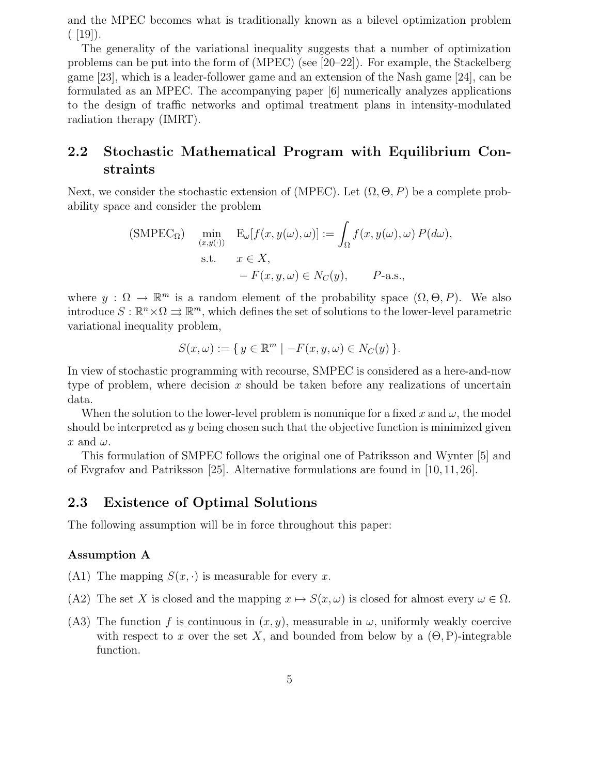and the MPEC becomes what is traditionally known as a bilevel optimization problem  $(19)$ .

The generality of the variational inequality suggests that a number of optimization problems can be put into the form of (MPEC) (see [20–22]). For example, the Stackelberg game [23], which is a leader-follower game and an extension of the Nash game [24], can be formulated as an MPEC. The accompanying paper [6] numerically analyzes applications to the design of traffic networks and optimal treatment plans in intensity-modulated radiation therapy (IMRT).

## 2.2 Stochastic Mathematical Program with Equilibrium Constraints

Next, we consider the stochastic extension of (MPEC). Let  $(\Omega, \Theta, P)$  be a complete probability space and consider the problem

(SMPEC<sub>Ω</sub>) 
$$
\min_{(x,y(\cdot))} E_{\omega}[f(x,y(\omega),\omega)] := \int_{\Omega} f(x,y(\omega),\omega) P(d\omega),
$$
  
s.t.  $x \in X$ ,  
 $-F(x,y,\omega) \in N_C(y)$ ,  $P$ -a.s.,

where  $y: \Omega \to \mathbb{R}^m$  is a random element of the probability space  $(\Omega, \Theta, P)$ . We also introduce  $S: \mathbb{R}^n \times \Omega \rightrightarrows \mathbb{R}^m$ , which defines the set of solutions to the lower-level parametric variational inequality problem,

$$
S(x,\omega) := \{ y \in \mathbb{R}^m \mid -F(x,y,\omega) \in N_C(y) \}.
$$

In view of stochastic programming with recourse, SMPEC is considered as a here-and-now type of problem, where decision  $x$  should be taken before any realizations of uncertain data.

When the solution to the lower-level problem is nonunique for a fixed x and  $\omega$ , the model should be interpreted as  $y$  being chosen such that the objective function is minimized given x and  $\omega$ .

This formulation of SMPEC follows the original one of Patriksson and Wynter [5] and of Evgrafov and Patriksson [25]. Alternative formulations are found in [10, 11, 26].

## 2.3 Existence of Optimal Solutions

The following assumption will be in force throughout this paper:

#### Assumption A

- (A1) The mapping  $S(x, \cdot)$  is measurable for every x.
- (A2) The set X is closed and the mapping  $x \mapsto S(x,\omega)$  is closed for almost every  $\omega \in \Omega$ .
- (A3) The function f is continuous in  $(x, y)$ , measurable in  $\omega$ , uniformly weakly coercive with respect to x over the set X, and bounded from below by a  $(\Theta, P)$ -integrable function.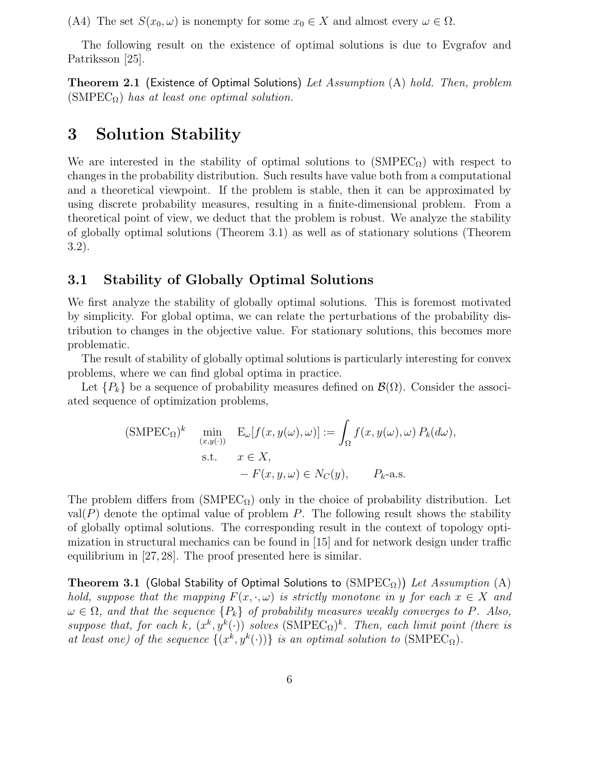(A4) The set  $S(x_0, \omega)$  is nonempty for some  $x_0 \in X$  and almost every  $\omega \in \Omega$ .

The following result on the existence of optimal solutions is due to Evgrafov and Patriksson [25].

**Theorem 2.1** (Existence of Optimal Solutions) Let Assumption  $(A)$  hold. Then, problem (SMPEC $_{\Omega}$ ) has at least one optimal solution.

## 3 Solution Stability

We are interested in the stability of optimal solutions to  $(SMPEC<sub>Q</sub>)$  with respect to changes in the probability distribution. Such results have value both from a computational and a theoretical viewpoint. If the problem is stable, then it can be approximated by using discrete probability measures, resulting in a finite-dimensional problem. From a theoretical point of view, we deduct that the problem is robust. We analyze the stability of globally optimal solutions (Theorem 3.1) as well as of stationary solutions (Theorem 3.2).

## 3.1 Stability of Globally Optimal Solutions

We first analyze the stability of globally optimal solutions. This is foremost motivated by simplicity. For global optima, we can relate the perturbations of the probability distribution to changes in the objective value. For stationary solutions, this becomes more problematic.

The result of stability of globally optimal solutions is particularly interesting for convex problems, where we can find global optima in practice.

Let  $\{P_k\}$  be a sequence of probability measures defined on  $\mathcal{B}(\Omega)$ . Consider the associated sequence of optimization problems,

$$
\begin{aligned} \text{(SMPEC}_{\Omega})^k & \min_{(x,y(\cdot))} \quad \mathcal{E}_{\omega}[f(x,y(\omega),\omega)] := \int_{\Omega} f(x,y(\omega),\omega) \, P_k(d\omega), \\ \text{s.t.} & \quad x \in X, \\ &-F(x,y,\omega) \in N_C(y), \qquad P_k\text{-a.s.} \end{aligned}
$$

The problem differs from  $(SMPEC_{\Omega})$  only in the choice of probability distribution. Let  $val(P)$  denote the optimal value of problem P. The following result shows the stability of globally optimal solutions. The corresponding result in the context of topology optimization in structural mechanics can be found in [15] and for network design under traffic equilibrium in [27, 28]. The proof presented here is similar.

**Theorem 3.1 (Global Stability of Optimal Solutions to (SMPEC** $_{\Omega}$ )) Let Assumption (A) hold, suppose that the mapping  $F(x, \cdot, \omega)$  is strictly monotone in y for each  $x \in X$  and  $\omega \in \Omega$ , and that the sequence  $\{P_k\}$  of probability measures weakly converges to P. Also, suppose that, for each k,  $(x^k, y^k(\cdot))$  solves  $(SMPEC_{\Omega})^k$ . Then, each limit point (there is at least one) of the sequence  $\{(x^k, y^k(\cdot))\}$  is an optimal solution to  $(SMPEC_{\Omega})$ .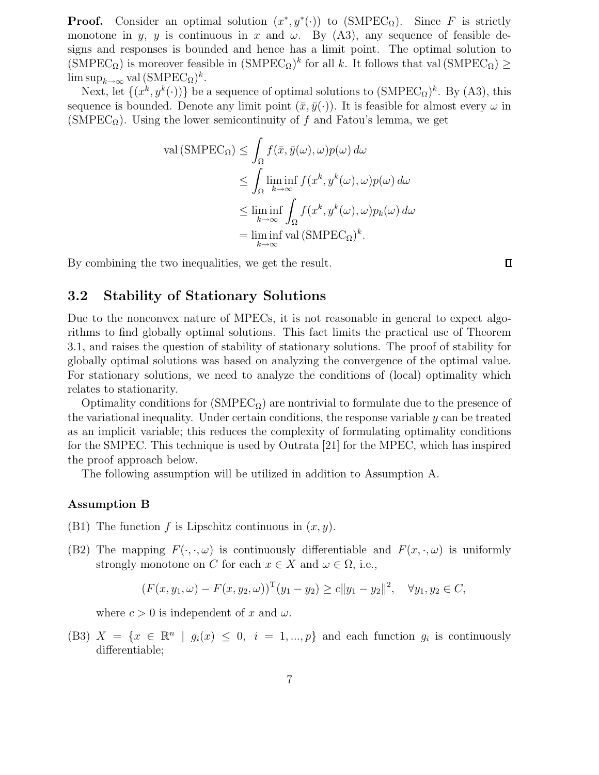**Proof.** Consider an optimal solution  $(x^*, y^*(\cdot))$  to (SMPEC<sub>Ω</sub>). Since F is strictly monotone in y, y is continuous in x and  $\omega$ . By (A3), any sequence of feasible designs and responses is bounded and hence has a limit point. The optimal solution to  $(SMPEC_{\Omega})$  is moreover feasible in  $(SMPEC_{\Omega})^k$  for all k. It follows that val  $(SMPEC_{\Omega}) \ge$  $\limsup_{k\to\infty}$  val  $(\text{SMPEC}_{\Omega})^k$ .

Next, let  $\{(x^k, y^k(\cdot))\}$  be a sequence of optimal solutions to  $(SMPEC_{\Omega})^k$ . By  $(A3)$ , this sequence is bounded. Denote any limit point  $(\bar{x}, \bar{y}(\cdot))$ . It is feasible for almost every  $\omega$  in  $(SMPEC<sub>Q</sub>)$ . Using the lower semicontinuity of f and Fatou's lemma, we get

$$
\text{val}(\text{SMPEC}_{\Omega}) \leq \int_{\Omega} f(\bar{x}, \bar{y}(\omega), \omega) p(\omega) \, d\omega
$$
  

$$
\leq \int_{\Omega} \liminf_{k \to \infty} f(x^k, y^k(\omega), \omega) p(\omega) \, d\omega
$$
  

$$
\leq \liminf_{k \to \infty} \int_{\Omega} f(x^k, y^k(\omega), \omega) p_k(\omega) \, d\omega
$$
  

$$
= \liminf_{k \to \infty} \text{val}(\text{SMPEC}_{\Omega})^k.
$$

By combining the two inequalities, we get the result.

#### $\Box$

## 3.2 Stability of Stationary Solutions

Due to the nonconvex nature of MPECs, it is not reasonable in general to expect algorithms to find globally optimal solutions. This fact limits the practical use of Theorem 3.1, and raises the question of stability of stationary solutions. The proof of stability for globally optimal solutions was based on analyzing the convergence of the optimal value. For stationary solutions, we need to analyze the conditions of (local) optimality which relates to stationarity.

Optimality conditions for  $(SMPEC_{\Omega})$  are nontrivial to formulate due to the presence of the variational inequality. Under certain conditions, the response variable  $y$  can be treated as an implicit variable; this reduces the complexity of formulating optimality conditions for the SMPEC. This technique is used by Outrata [21] for the MPEC, which has inspired the proof approach below.

The following assumption will be utilized in addition to Assumption A.

#### Assumption B

- (B1) The function f is Lipschitz continuous in  $(x, y)$ .
- (B2) The mapping  $F(\cdot, \cdot, \omega)$  is continuously differentiable and  $F(x, \cdot, \omega)$  is uniformly strongly monotone on C for each  $x \in X$  and  $\omega \in \Omega$ , i.e.,

$$
(F(x, y_1, \omega) - F(x, y_2, \omega))^{\mathrm{T}}(y_1 - y_2) \ge c \|y_1 - y_2\|^2, \quad \forall y_1, y_2 \in C,
$$

where  $c > 0$  is independent of x and  $\omega$ .

(B3)  $X = \{x \in \mathbb{R}^n \mid g_i(x) \leq 0, i = 1, ..., p\}$  and each function  $g_i$  is continuously differentiable;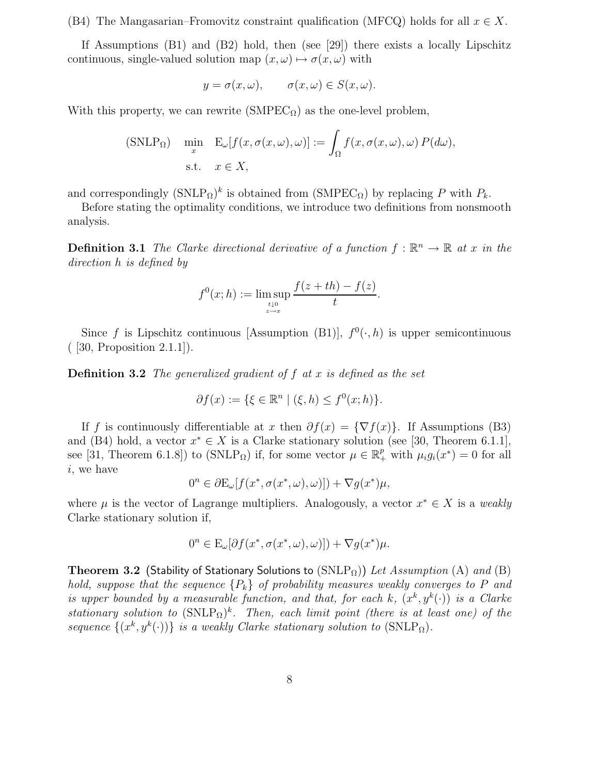(B4) The Mangasarian–Fromovitz constraint qualification (MFCQ) holds for all  $x \in X$ .

If Assumptions (B1) and (B2) hold, then (see [29]) there exists a locally Lipschitz continuous, single-valued solution map  $(x, \omega) \mapsto \sigma(x, \omega)$  with

$$
y = \sigma(x, \omega), \qquad \sigma(x, \omega) \in S(x, \omega).
$$

With this property, we can rewrite  $(SMPEC<sub>Ω</sub>)$  as the one-level problem,

(SNLP<sub>Ω</sub>) 
$$
\min_{x} \quad E_{\omega}[f(x, \sigma(x, \omega), \omega)] := \int_{\Omega} f(x, \sigma(x, \omega), \omega) P(d\omega),
$$
  
s.t.  $x \in X$ ,

and correspondingly  $(SMLP_{\Omega})^k$  is obtained from  $(SMPEC_{\Omega})$  by replacing P with  $P_k$ .

Before stating the optimality conditions, we introduce two definitions from nonsmooth analysis.

**Definition 3.1** The Clarke directional derivative of a function  $f : \mathbb{R}^n \to \mathbb{R}$  at x in the direction h is defined by

$$
f^{0}(x; h) := \limsup_{\substack{t \downarrow 0 \\ z \to x}} \frac{f(z + th) - f(z)}{t}.
$$

Since f is Lipschitz continuous [Assumption (B1)],  $f^0(\cdot,h)$  is upper semicontinuous ( [30, Proposition 2.1.1]).

**Definition 3.2** The generalized gradient of  $f$  at  $x$  is defined as the set

$$
\partial f(x) := \{ \xi \in \mathbb{R}^n \mid (\xi, h) \le f^0(x; h) \}.
$$

If f is continuously differentiable at x then  $\partial f(x) = \{\nabla f(x)\}\$ . If Assumptions (B3) and (B4) hold, a vector  $x^* \in X$  is a Clarke stationary solution (see [30, Theorem 6.1.1], see [31, Theorem 6.1.8]) to (SNLP<sub>Ω</sub>) if, for some vector  $\mu \in \mathbb{R}_+^p$  with  $\mu_i g_i(x^*) = 0$  for all i, we have

$$
0^n \in \partial \mathcal{E}_{\omega}[f(x^*, \sigma(x^*, \omega), \omega)]) + \nabla g(x^*)\mu,
$$

where  $\mu$  is the vector of Lagrange multipliers. Analogously, a vector  $x^* \in X$  is a weakly Clarke stationary solution if,

$$
0^n \in \mathcal{E}_{\omega}[\partial f(x^*, \sigma(x^*, \omega), \omega)]) + \nabla g(x^*)\mu.
$$

Theorem 3.2 (Stability of Stationary Solutions to  $(SNLP<sub>\Omega</sub>)$ ) Let Assumption (A) and (B) hold, suppose that the sequence  ${P_k}$  of probability measures weakly converges to P and is upper bounded by a measurable function, and that, for each k,  $(x^k, y^k(\cdot))$  is a Clarke stationary solution to  $(SNLP<sub>\Omega</sub>)<sup>k</sup>$ . Then, each limit point (there is at least one) of the sequence  $\{(x^k, y^k(\cdot))\}$  is a weakly Clarke stationary solution to  $(SNLP_{\Omega})$ .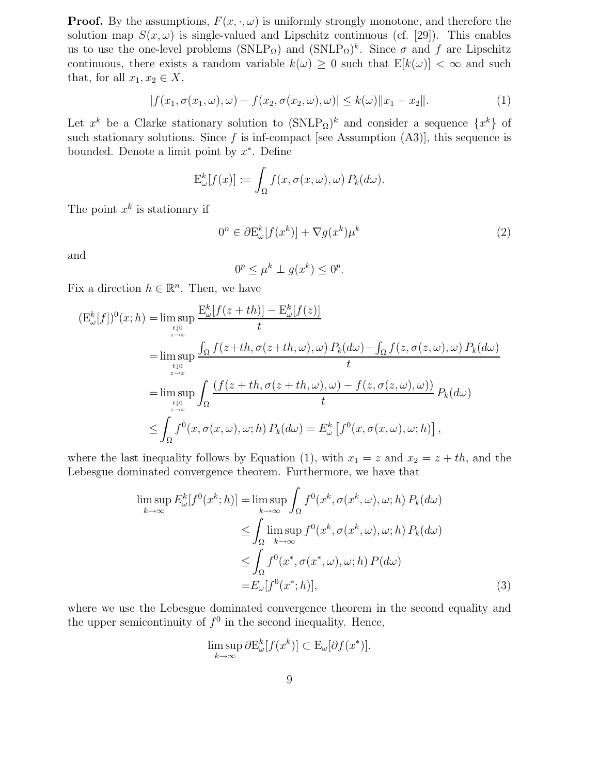**Proof.** By the assumptions,  $F(x, \cdot, \omega)$  is uniformly strongly monotone, and therefore the solution map  $S(x, \omega)$  is single-valued and Lipschitz continuous (cf. [29]). This enables us to use the one-level problems  $(SNLP_{\Omega})$  and  $(SNLP_{\Omega})^k$ . Since  $\sigma$  and  $f$  are Lipschitz continuous, there exists a random variable  $k(\omega) \geq 0$  such that  $E[k(\omega)] < \infty$  and such that, for all  $x_1, x_2 \in X$ ,

$$
|f(x_1, \sigma(x_1, \omega), \omega) - f(x_2, \sigma(x_2, \omega), \omega)| \le k(\omega) \|x_1 - x_2\|.
$$
 (1)

Let  $x^k$  be a Clarke stationary solution to  $(SNLP_{\Omega})^k$  and consider a sequence  $\{x^k\}$  of such stationary solutions. Since  $f$  is inf-compact [see Assumption  $(A3)$ ], this sequence is bounded. Denote a limit point by  $x^*$ . Define

$$
\mathcal{E}_{\omega}^k[f(x)] := \int_{\Omega} f(x, \sigma(x, \omega), \omega) P_k(d\omega).
$$

The point  $x^k$  is stationary if

$$
0^n \in \partial \mathcal{E}_{\omega}^k[f(x^k)] + \nabla g(x^k)\mu^k \tag{2}
$$

and

$$
0^p \le \mu^k \perp g(x^k) \le 0^p.
$$

Fix a direction  $h \in \mathbb{R}^n$ . Then, we have

$$
(E_{\omega}^{k}[f])^{0}(x; h) = \limsup_{t \downarrow 0} \frac{E_{\omega}^{k}[f(z+th)] - E_{\omega}^{k}[f(z)]}{t}
$$
  
\n
$$
= \limsup_{t \downarrow 0} \frac{\int_{\Omega} f(z+th, \sigma(z+th, \omega), \omega) P_{k}(d\omega) - \int_{\Omega} f(z, \sigma(z, \omega), \omega) P_{k}(d\omega)}{t}
$$
  
\n
$$
= \limsup_{t \downarrow 0} \int_{\Omega} \frac{(f(z+th, \sigma(z+th, \omega), \omega) - f(z, \sigma(z, \omega), \omega))}{t} P_{k}(d\omega)
$$
  
\n
$$
\leq \int_{\Omega} f^{0}(x, \sigma(x, \omega), \omega; h) P_{k}(d\omega) = E_{\omega}^{k}[f^{0}(x, \sigma(x, \omega), \omega; h)],
$$

where the last inequality follows by Equation (1), with  $x_1 = z$  and  $x_2 = z + th$ , and the Lebesgue dominated convergence theorem. Furthermore, we have that

$$
\limsup_{k \to \infty} E_{\omega}^{k}[f^{0}(x^{k}; h)] = \limsup_{k \to \infty} \int_{\Omega} f^{0}(x^{k}, \sigma(x^{k}, \omega), \omega; h) P_{k}(d\omega)
$$
  
\n
$$
\leq \int_{\Omega} \limsup_{k \to \infty} f^{0}(x^{k}, \sigma(x^{k}, \omega), \omega; h) P_{k}(d\omega)
$$
  
\n
$$
\leq \int_{\Omega} f^{0}(x^{*}, \sigma(x^{*}, \omega), \omega; h) P(d\omega)
$$
  
\n
$$
= E_{\omega}[f^{0}(x^{*}; h)], \qquad (3)
$$

where we use the Lebesgue dominated convergence theorem in the second equality and the upper semicontinuity of  $f^0$  in the second inequality. Hence,

$$
\limsup_{k \to \infty} \partial \mathcal{E}_{\omega}^k[f(x^k)] \subset \mathcal{E}_{\omega}[\partial f(x^*)].
$$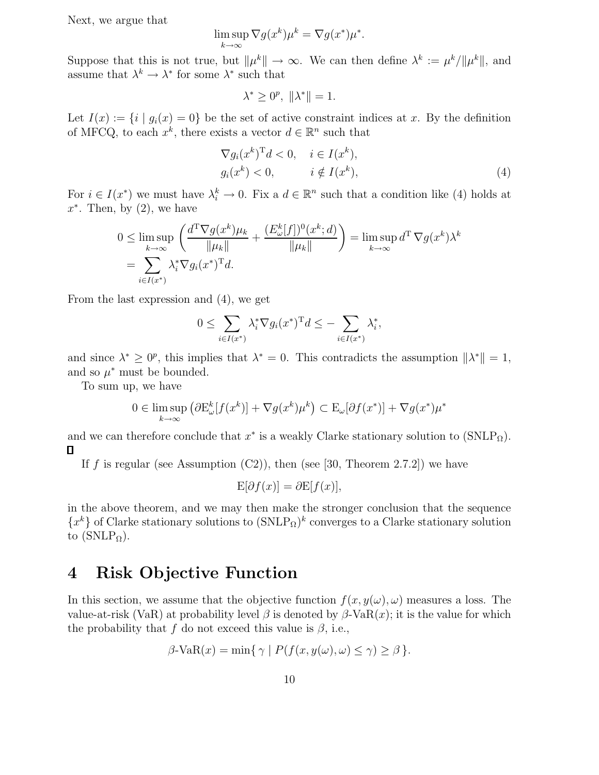Next, we argue that

$$
\limsup_{k \to \infty} \nabla g(x^k) \mu^k = \nabla g(x^*) \mu^*.
$$

Suppose that this is not true, but  $\|\mu^k\| \to \infty$ . We can then define  $\lambda^k := \mu^k / \|\mu^k\|$ , and assume that  $\lambda^k \to \lambda^*$  for some  $\lambda^*$  such that

$$
\lambda^* \ge 0^p, \ \|\lambda^*\| = 1.
$$

Let  $I(x) := \{i \mid g_i(x) = 0\}$  be the set of active constraint indices at x. By the definition of MFCQ, to each  $x^k$ , there exists a vector  $d \in \mathbb{R}^n$  such that

$$
\nabla g_i(x^k)^{\mathrm{T}}d < 0, \quad i \in I(x^k),
$$
\n
$$
g_i(x^k) < 0, \quad i \notin I(x^k), \tag{4}
$$

For  $i \in I(x^*)$  we must have  $\lambda_i^k \to 0$ . Fix a  $d \in \mathbb{R}^n$  such that a condition like (4) holds at  $x^*$ . Then, by  $(2)$ , we have

$$
0 \leq \limsup_{k \to \infty} \left( \frac{d^{\mathrm{T}} \nabla g(x^k) \mu_k}{\|\mu_k\|} + \frac{(E_{\omega}^k[f])^0(x^k; d)}{\|\mu_k\|} \right) = \limsup_{k \to \infty} d^{\mathrm{T}} \nabla g(x^k) \lambda^k
$$
  
= 
$$
\sum_{i \in I(x^*)} \lambda_i^* \nabla g_i(x^*)^{\mathrm{T}} d.
$$

From the last expression and (4), we get

$$
0 \leq \sum_{i \in I(x^*)} \lambda_i^* \nabla g_i(x^*)^{\mathrm{T}} d \leq -\sum_{i \in I(x^*)} \lambda_i^*,
$$

and since  $\lambda^* \geq 0^p$ , this implies that  $\lambda^* = 0$ . This contradicts the assumption  $\|\lambda^*\| = 1$ , and so  $\mu^*$  must be bounded.

To sum up, we have

$$
0 \in \limsup_{k \to \infty} (\partial \mathcal{E}_{\omega}^k [f(x^k)] + \nabla g(x^k) \mu^k) \subset \mathcal{E}_{\omega}[\partial f(x^*)] + \nabla g(x^*) \mu^*
$$

and we can therefore conclude that  $x^*$  is a weakly Clarke stationary solution to  $(SNLP<sub>\Omega</sub>)$ . Π

If f is regular (see Assumption  $(C2)$ ), then (see [30, Theorem 2.7.2]) we have

$$
E[\partial f(x)] = \partial E[f(x)],
$$

in the above theorem, and we may then make the stronger conclusion that the sequence  ${x^k}$  of Clarke stationary solutions to  $(SNLP_{\Omega})^k$  converges to a Clarke stationary solution to  $(SNLP<sub>\Omega</sub>)$ .

# 4 Risk Objective Function

In this section, we assume that the objective function  $f(x, y(\omega), \omega)$  measures a loss. The value-at-risk (VaR) at probability level β is denoted by  $\beta$ -VaR(x); it is the value for which the probability that f do not exceed this value is  $\beta$ , i.e.,

$$
\beta\text{-VaR}(x) = \min\{\,\gamma \mid P(f(x, y(\omega), \omega) \le \gamma) \ge \beta\,\}.
$$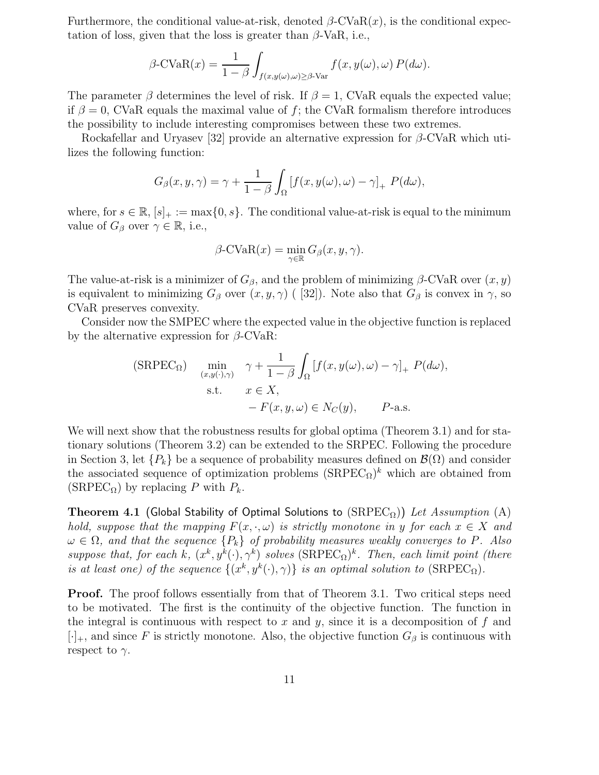Furthermore, the conditional value-at-risk, denoted  $\beta$ -CVaR $(x)$ , is the conditional expectation of loss, given that the loss is greater than  $\beta$ -VaR, i.e.,

$$
\beta\text{-CVaR}(x) = \frac{1}{1-\beta} \int_{f(x,y(\omega),\omega) \ge \beta\text{-Var}} f(x,y(\omega),\omega) P(d\omega).
$$

The parameter  $\beta$  determines the level of risk. If  $\beta = 1$ , CVaR equals the expected value; if  $\beta = 0$ , CVaR equals the maximal value of f; the CVaR formalism therefore introduces the possibility to include interesting compromises between these two extremes.

Rockafellar and Uryasev [32] provide an alternative expression for  $\beta$ -CVaR which utilizes the following function:

$$
G_{\beta}(x, y, \gamma) = \gamma + \frac{1}{1 - \beta} \int_{\Omega} \left[ f(x, y(\omega), \omega) - \gamma \right]_{+} P(d\omega),
$$

where, for  $s \in \mathbb{R}$ ,  $[s]_+ := \max\{0, s\}$ . The conditional value-at-risk is equal to the minimum value of  $G_{\beta}$  over  $\gamma \in \mathbb{R}$ , i.e.,

$$
\beta\text{-CVaR}(x) = \min_{\gamma \in \mathbb{R}} G_{\beta}(x, y, \gamma).
$$

The value-at-risk is a minimizer of  $G_\beta$ , and the problem of minimizing  $\beta$ -CVaR over  $(x, y)$ is equivalent to minimizing  $G_\beta$  over  $(x, y, \gamma)$  ( [32]). Note also that  $G_\beta$  is convex in  $\gamma$ , so CVaR preserves convexity.

Consider now the SMPEC where the expected value in the objective function is replaced by the alternative expression for  $\beta$ -CVaR:

(SRPEC<sub>Ω</sub>) min<sub>(x,y(·),γ)</sub> 
$$
\gamma + \frac{1}{1-\beta} \int_{\Omega} [f(x, y(\omega), \omega) - \gamma]_{+} P(d\omega),
$$
  
s.t.  $x \in X$ ,  
 $-F(x, y, \omega) \in N_C(y)$ ,  $P$ -a.s.

We will next show that the robustness results for global optima (Theorem 3.1) and for stationary solutions (Theorem 3.2) can be extended to the SRPEC. Following the procedure in Section 3, let  $\{P_k\}$  be a sequence of probability measures defined on  $\mathcal{B}(\Omega)$  and consider the associated sequence of optimization problems  $(SRPEC_{\Omega})^k$  which are obtained from (SRPEC<sub> $\Omega$ </sub>) by replacing P with  $P_k$ .

Theorem 4.1 (Global Stability of Optimal Solutions to  $(SRPEC<sub>Ω</sub>)$ ) Let Assumption (A) hold, suppose that the mapping  $F(x, \cdot, \omega)$  is strictly monotone in y for each  $x \in X$  and  $\omega \in \Omega$ , and that the sequence  $\{P_k\}$  of probability measures weakly converges to P. Also suppose that, for each k,  $(x^k, y^k(\cdot), \gamma^k)$  solves  $(SRPEC_{\Omega})^k$ . Then, each limit point (there is at least one) of the sequence  $\{(x^k, y^k(\cdot), \gamma)\}\)$  is an optimal solution to  $(SRPEC_{\Omega})$ .

**Proof.** The proof follows essentially from that of Theorem 3.1. Two critical steps need to be motivated. The first is the continuity of the objective function. The function in the integral is continuous with respect to x and y, since it is a decomposition of f and  $[\cdot]_+$ , and since F is strictly monotone. Also, the objective function  $G_\beta$  is continuous with respect to  $\gamma$ .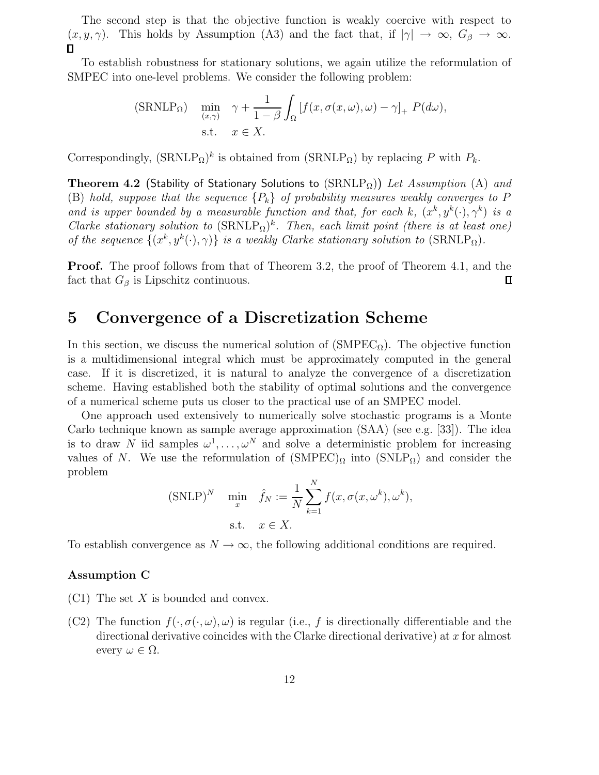The second step is that the objective function is weakly coercive with respect to  $(x, y, \gamma)$ . This holds by Assumption (A3) and the fact that, if  $|\gamma| \to \infty$ ,  $G_{\beta} \to \infty$ .  $\Box$ 

To establish robustness for stationary solutions, we again utilize the reformulation of SMPEC into one-level problems. We consider the following problem:

(SRNLP<sub>Ω</sub>) min 
$$
\gamma + \frac{1}{1-\beta} \int_{\Omega} [f(x, \sigma(x,\omega), \omega) - \gamma]_{+} P(d\omega),
$$
  
s.t.  $x \in X$ .

Correspondingly,  $(SRNLP<sub>\Omega</sub>)<sup>k</sup>$  is obtained from  $(SRNLP<sub>\Omega</sub>)$  by replacing P with  $P<sub>k</sub>$ .

Theorem 4.2 (Stability of Stationary Solutions to  $(SRNLP<sub>\Omega</sub>)$ ) Let Assumption (A) and (B) hold, suppose that the sequence  ${P_k}$  of probability measures weakly converges to P and is upper bounded by a measurable function and that, for each k,  $(x^k, y^k(\cdot), \gamma^k)$  is a Clarke stationary solution to  $(SRNLP<sub>\Omega</sub>)<sup>k</sup>$ . Then, each limit point (there is at least one) of the sequence  $\{(x^k, y^k(\cdot), \gamma)\}\)$  is a weakly Clarke stationary solution to  $(SRNLP_{\Omega})$ .

**Proof.** The proof follows from that of Theorem 3.2, the proof of Theorem 4.1, and the fact that  $G_{\beta}$  is Lipschitz continuous.  $\Box$ 

## 5 Convergence of a Discretization Scheme

In this section, we discuss the numerical solution of  $(SMPEC<sub>O</sub>)$ . The objective function is a multidimensional integral which must be approximately computed in the general case. If it is discretized, it is natural to analyze the convergence of a discretization scheme. Having established both the stability of optimal solutions and the convergence of a numerical scheme puts us closer to the practical use of an SMPEC model.

One approach used extensively to numerically solve stochastic programs is a Monte Carlo technique known as sample average approximation (SAA) (see e.g. [33]). The idea is to draw N iid samples  $\omega^1, \ldots, \omega^N$  and solve a deterministic problem for increasing values of N. We use the reformulation of  $(SMPEC)_{\Omega}$  into  $(SNLP_{\Omega})$  and consider the problem

(SNLP)<sup>N</sup> 
$$
\min_x \quad \hat{f}_N := \frac{1}{N} \sum_{k=1}^N f(x, \sigma(x, \omega^k), \omega^k),
$$
  
s.t.  $x \in X$ .

To establish convergence as  $N \to \infty$ , the following additional conditions are required.

#### Assumption C

- $(C1)$  The set X is bounded and convex.
- (C2) The function  $f(\cdot, \sigma(\cdot, \omega), \omega)$  is regular (i.e., f is directionally differentiable and the directional derivative coincides with the Clarke directional derivative) at  $x$  for almost every  $\omega \in \Omega$ .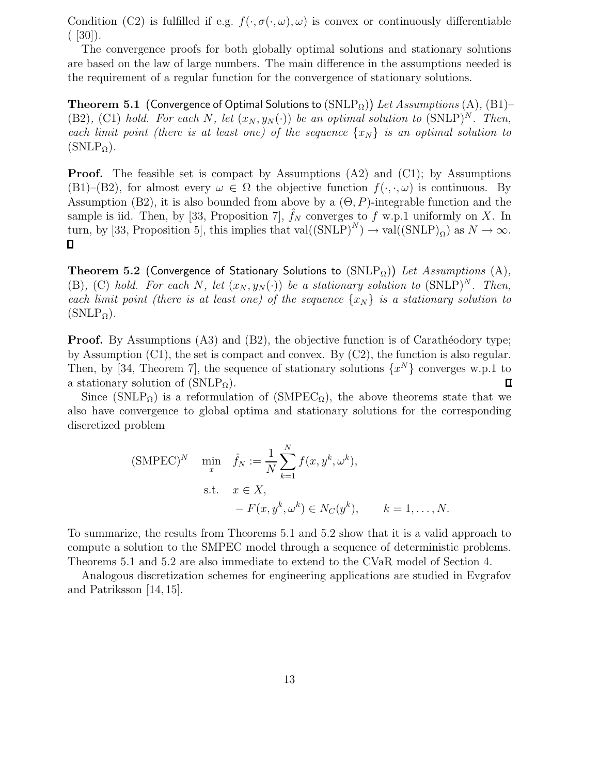Condition (C2) is fulfilled if e.g.  $f(\cdot, \sigma(\cdot, \omega), \omega)$  is convex or continuously differentiable  $(530)$ .

The convergence proofs for both globally optimal solutions and stationary solutions are based on the law of large numbers. The main difference in the assumptions needed is the requirement of a regular function for the convergence of stationary solutions.

**Theorem 5.1** (Convergence of Optimal Solutions to  $(SNLP<sub>\Omega</sub>)$ ) Let Assumptions (A), (B1)– (B2), (C1) hold. For each N, let  $(x_N, y_N(\cdot))$  be an optimal solution to  $(SNLP)^N$ . Then, each limit point (there is at least one) of the sequence  $\{x_N\}$  is an optimal solution to  $(SNLP_{\Omega}).$ 

**Proof.** The feasible set is compact by Assumptions  $(A2)$  and  $(C1)$ ; by Assumptions (B1)–(B2), for almost every  $\omega \in \Omega$  the objective function  $f(\cdot, \cdot, \omega)$  is continuous. By Assumption (B2), it is also bounded from above by a  $(\Theta, P)$ -integrable function and the sample is iid. Then, by [33, Proposition 7],  $\hat{f}_N$  converges to f w.p.1 uniformly on X. In turn, by [33, Proposition 5], this implies that  $val((SNLP)^{N}) \rightarrow val((SNLP)_{\Omega})$  as  $N \rightarrow \infty$ .  $\Box$ 

Theorem 5.2 (Convergence of Stationary Solutions to  $(SNLP<sub>\Omega</sub>)$ ) Let Assumptions (A), (B), (C) hold. For each N, let  $(x_N, y_N(\cdot))$  be a stationary solution to  $(SNLP)^N$ . Then, each limit point (there is at least one) of the sequence  $\{x_N\}$  is a stationary solution to  $(SNLP<sub>Ω</sub>)$ .

**Proof.** By Assumptions  $(A3)$  and  $(B2)$ , the objective function is of Carathéodory type; by Assumption (C1), the set is compact and convex. By (C2), the function is also regular. Then, by [34, Theorem 7], the sequence of stationary solutions  $\{x^N\}$  converges w.p.1 to a stationary solution of  $(SNLP_{\Omega})$ . 口

Since (SNLP $_{\Omega}$ ) is a reformulation of (SMPEC<sub> $_{\Omega}$ </sub>), the above theorems state that we also have convergence to global optima and stationary solutions for the corresponding discretized problem

(SMPEC)<sup>*N*</sup> 
$$
\min_{x} \quad \hat{f}_N := \frac{1}{N} \sum_{k=1}^{N} f(x, y^k, \omega^k),
$$
  
s.t. 
$$
x \in X,
$$

$$
-F(x, y^k, \omega^k) \in N_C(y^k), \qquad k = 1, ..., N.
$$

To summarize, the results from Theorems 5.1 and 5.2 show that it is a valid approach to compute a solution to the SMPEC model through a sequence of deterministic problems. Theorems 5.1 and 5.2 are also immediate to extend to the CVaR model of Section 4.

Analogous discretization schemes for engineering applications are studied in Evgrafov and Patriksson [14, 15].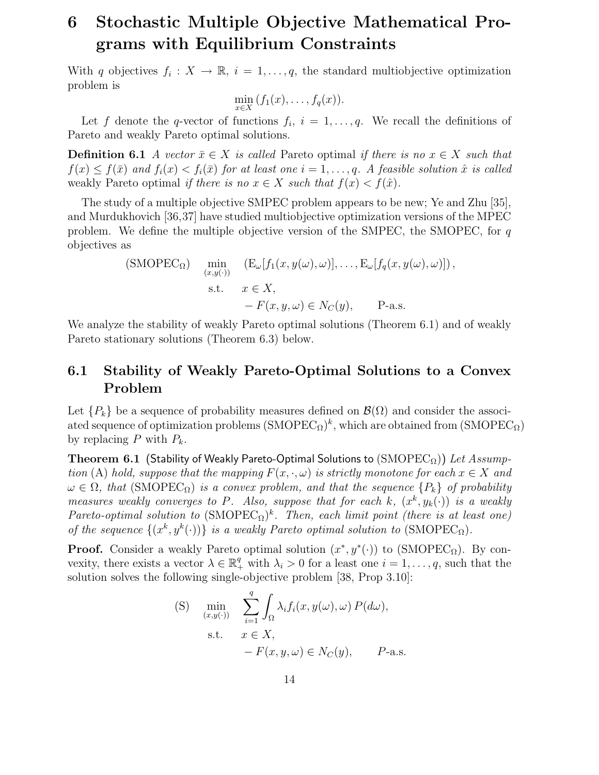# 6 Stochastic Multiple Objective Mathematical Programs with Equilibrium Constraints

With q objectives  $f_i: X \to \mathbb{R}, i = 1, \ldots, q$ , the standard multiobjective optimization problem is

$$
\min_{x \in X} (f_1(x), \ldots, f_q(x)).
$$

Let f denote the q-vector of functions  $f_i$ ,  $i = 1, \ldots, q$ . We recall the definitions of Pareto and weakly Pareto optimal solutions.

**Definition 6.1** A vector  $\bar{x} \in X$  is called Pareto optimal if there is no  $x \in X$  such that  $f(x) \leq f(\bar{x})$  and  $f_i(x) \leq f_i(\bar{x})$  for at least one  $i = 1, \ldots, q$ . A feasible solution  $\hat{x}$  is called weakly Pareto optimal if there is no  $x \in X$  such that  $f(x) < f(\hat{x})$ .

The study of a multiple objective SMPEC problem appears to be new; Ye and Zhu [35], and Murdukhovich [36,37] have studied multiobjective optimization versions of the MPEC problem. We define the multiple objective version of the SMPEC, the SMOPEC, for  $q$ objectives as

(SMOPEC<sub>Ω</sub>) 
$$
\min_{(x,y(\cdot))}
$$
 (E <sub>$\omega$</sub> [f<sub>1</sub>(x, y( $\omega$ ),  $\omega$ )],...,E <sub>$\omega$</sub> [f<sub>q</sub>(x, y( $\omega$ ),  $\omega$ )]),  
s.t.  $x \in X$ ,  
- F(x, y,  $\omega$ )  $\in$  N<sub>C</sub>(y), P-a.s.

We analyze the stability of weakly Pareto optimal solutions (Theorem 6.1) and of weakly Pareto stationary solutions (Theorem 6.3) below.

## 6.1 Stability of Weakly Pareto-Optimal Solutions to a Convex Problem

Let  ${P_k}$  be a sequence of probability measures defined on  $\mathcal{B}(\Omega)$  and consider the associated sequence of optimization problems  $(SMOPEC_{\Omega})^k$ , which are obtained from  $(SMOPEC_{\Omega})$ by replacing P with  $P_k$ .

Theorem 6.1 (Stability of Weakly Pareto-Optimal Solutions to  $(\text{SMOPEC}_{\Omega}))$  Let Assumption (A) hold, suppose that the mapping  $F(x, \cdot, \omega)$  is strictly monotone for each  $x \in X$  and  $\omega \in \Omega$ , that (SMOPEC<sub>Ω</sub>) is a convex problem, and that the sequence  $\{P_k\}$  of probability measures weakly converges to P. Also, suppose that for each k,  $(x^k, y_k(\cdot))$  is a weakly Pareto-optimal solution to  $(SMOPEC_{\Omega})^k$ . Then, each limit point (there is at least one) of the sequence  $\{(x^k, y^k(\cdot))\}$  is a weakly Pareto optimal solution to  $(SMOPEC_{\Omega})$ .

**Proof.** Consider a weakly Pareto optimal solution  $(x^*, y^*(\cdot))$  to (SMOPEC<sub>Ω</sub>). By convexity, there exists a vector  $\lambda \in \mathbb{R}_+^q$  with  $\lambda_i > 0$  for a least one  $i = 1, \ldots, q$ , such that the solution solves the following single-objective problem [38, Prop 3.10]:

(S) 
$$
\min_{(x,y(\cdot))} \sum_{i=1}^{q} \int_{\Omega} \lambda_i f_i(x, y(\omega), \omega) P(d\omega),
$$
  
s.t.  $x \in X$ ,  
 $-F(x, y, \omega) \in N_C(y)$ ,  $P$ -a.s.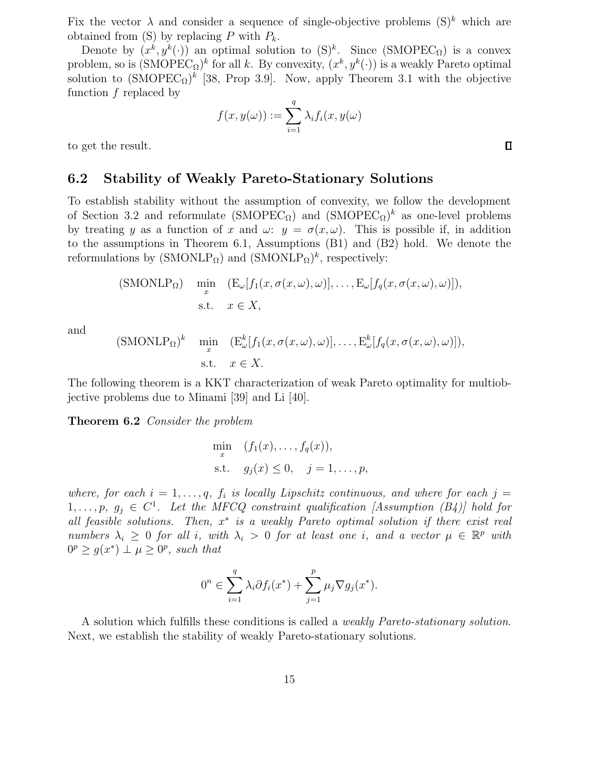Fix the vector  $\lambda$  and consider a sequence of single-objective problems  $(S)^k$  which are obtained from  $(S)$  by replacing P with  $P_k$ .

Denote by  $(x^k, y^k(\cdot))$  an optimal solution to  $(S)^k$ . Since  $(SMOPEC_{\Omega})$  is a convex problem, so is  $(SMOPEC_{\Omega})^k$  for all k. By convexity,  $(x^k, y^k(\cdot))$  is a weakly Pareto optimal solution to  $(SMOPEC_{\Omega})^k$  [38, Prop 3.9]. Now, apply Theorem 3.1 with the objective function f replaced by

$$
f(x, y(\omega)) := \sum_{i=1}^{q} \lambda_i f_i(x, y(\omega))
$$

to get the result.

### 6.2 Stability of Weakly Pareto-Stationary Solutions

To establish stability without the assumption of convexity, we follow the development of Section 3.2 and reformulate  $(SMOPEC_{\Omega})$  and  $(SMOPEC_{\Omega})^k$  as one-level problems by treating y as a function of x and  $\omega: y = \sigma(x, \omega)$ . This is possible if, in addition to the assumptions in Theorem 6.1, Assumptions (B1) and (B2) hold. We denote the reformulations by  $(SMONLP<sub>\Omega</sub>)$  and  $(SMONLP<sub>\Omega</sub>)<sup>k</sup>$ , respectively:

(SMONLP<sub>Ω</sub>) 
$$
\min_{x} \left( E_{\omega}[f_1(x, \sigma(x,\omega), \omega)], \dots, E_{\omega}[f_q(x, \sigma(x,\omega), \omega)] \right),
$$
  
s.t.  $x \in X$ ,

and

$$
(SMONLP_{\Omega})^k
$$
 min  $(E_{\omega}^k[f_1(x, \sigma(x, \omega), \omega)],..., E_{\omega}^k[f_q(x, \sigma(x, \omega), \omega)]),$   
s.t.  $x \in X.$ 

The following theorem is a KKT characterization of weak Pareto optimality for multiobjective problems due to Minami [39] and Li [40].

Theorem 6.2 Consider the problem

$$
\min_{x} \quad (f_1(x), \dots, f_q(x)),
$$
  
s.t.  $g_j(x) \le 0, \quad j = 1, \dots, p,$ 

where, for each  $i = 1, \ldots, q$ ,  $f_i$  is locally Lipschitz continuous, and where for each  $j =$  $1, \ldots, p, g_j \in C^1$ . Let the MFCQ constraint qualification [Assumption (B4)] hold for all feasible solutions. Then,  $x^*$  is a weakly Pareto optimal solution if there exist real numbers  $\lambda_i \geq 0$  for all i, with  $\lambda_i > 0$  for at least one i, and a vector  $\mu \in \mathbb{R}^p$  with  $0^p \ge g(x^*) \perp \mu \ge 0^p$ , such that

$$
0^n \in \sum_{i=1}^q \lambda_i \partial f_i(x^*) + \sum_{j=1}^p \mu_j \nabla g_j(x^*).
$$

A solution which fulfills these conditions is called a weakly Pareto-stationary solution. Next, we establish the stability of weakly Pareto-stationary solutions.

 $\Box$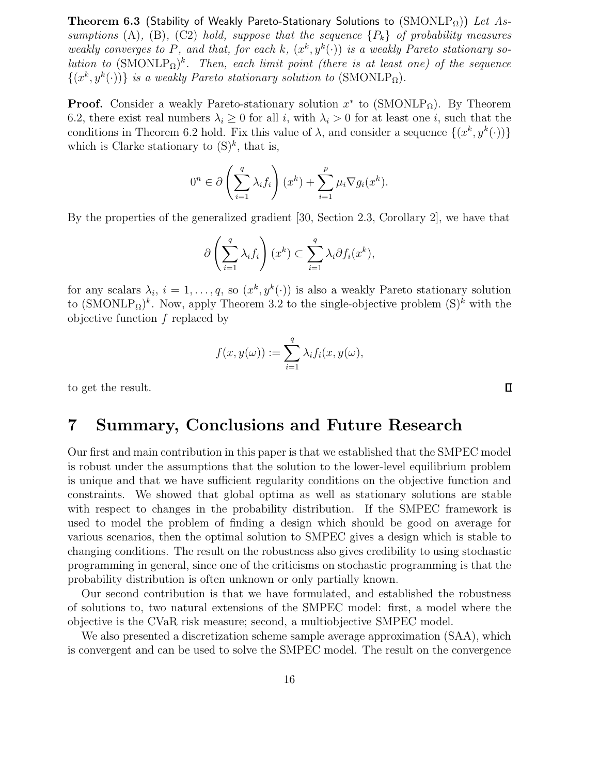Theorem 6.3 (Stability of Weakly Pareto-Stationary Solutions to  $(SMONLP<sub>Ω</sub>)$ ) Let Assumptions (A), (B), (C2) hold, suppose that the sequence  ${P_k}$  of probability measures weakly converges to P, and that, for each k,  $(x^k, y^k(\cdot))$  is a weakly Pareto stationary solution to  $(SMONLP<sub>Ω</sub>)<sup>k</sup>$ . Then, each limit point (there is at least one) of the sequence  $\{(x^k, y^k(\cdot))\}$  is a weakly Pareto stationary solution to  $(SMONLP_{\Omega})$ .

**Proof.** Consider a weakly Pareto-stationary solution  $x^*$  to (SMONLP<sub>Ω</sub>). By Theorem 6.2, there exist real numbers  $\lambda_i \geq 0$  for all i, with  $\lambda_i > 0$  for at least one i, such that the conditions in Theorem 6.2 hold. Fix this value of  $\lambda$ , and consider a sequence  $\{(x^k, y^k(\cdot))\}$ which is Clarke stationary to  $(S)^k$ , that is,

$$
0^n \in \partial \left(\sum_{i=1}^q \lambda_i f_i\right)(x^k) + \sum_{i=1}^p \mu_i \nabla g_i(x^k).
$$

By the properties of the generalized gradient [30, Section 2.3, Corollary 2], we have that

$$
\partial \left(\sum_{i=1}^q \lambda_i f_i\right)(x^k) \subset \sum_{i=1}^q \lambda_i \partial f_i(x^k),
$$

for any scalars  $\lambda_i$ ,  $i = 1, \ldots, q$ , so  $(x^k, y^k(\cdot))$  is also a weakly Pareto stationary solution to  $(SMONLP<sub>\Omega</sub>)<sup>k</sup>$ . Now, apply Theorem 3.2 to the single-objective problem  $(S)<sup>k</sup>$  with the objective function f replaced by

$$
f(x,y(\omega)) := \sum_{i=1}^q \lambda_i f_i(x,y(\omega),
$$

to get the result.

## 7 Summary, Conclusions and Future Research

Our first and main contribution in this paper is that we established that the SMPEC model is robust under the assumptions that the solution to the lower-level equilibrium problem is unique and that we have sufficient regularity conditions on the objective function and constraints. We showed that global optima as well as stationary solutions are stable with respect to changes in the probability distribution. If the SMPEC framework is used to model the problem of finding a design which should be good on average for various scenarios, then the optimal solution to SMPEC gives a design which is stable to changing conditions. The result on the robustness also gives credibility to using stochastic programming in general, since one of the criticisms on stochastic programming is that the probability distribution is often unknown or only partially known.

Our second contribution is that we have formulated, and established the robustness of solutions to, two natural extensions of the SMPEC model: first, a model where the objective is the CVaR risk measure; second, a multiobjective SMPEC model.

We also presented a discretization scheme sample average approximation (SAA), which is convergent and can be used to solve the SMPEC model. The result on the convergence

 $\Box$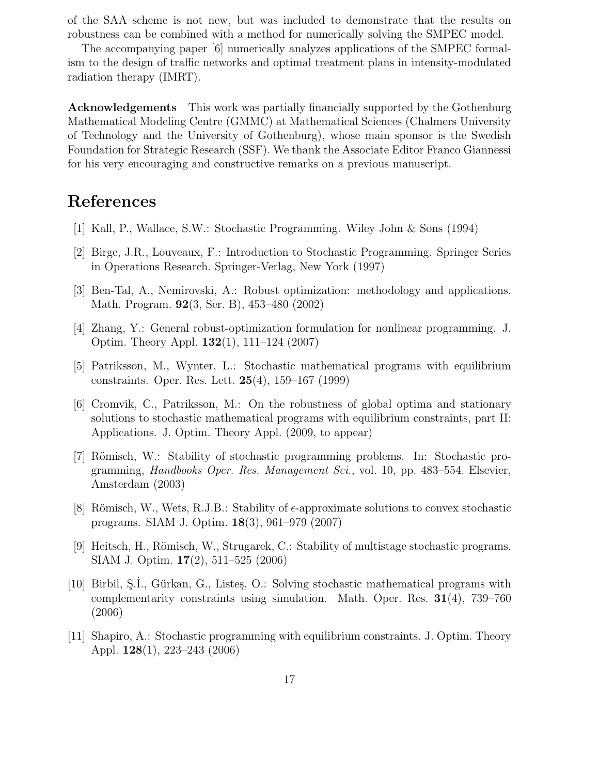of the SAA scheme is not new, but was included to demonstrate that the results on robustness can be combined with a method for numerically solving the SMPEC model.

The accompanying paper [6] numerically analyzes applications of the SMPEC formalism to the design of traffic networks and optimal treatment plans in intensity-modulated radiation therapy (IMRT).

Acknowledgements This work was partially financially supported by the Gothenburg Mathematical Modeling Centre (GMMC) at Mathematical Sciences (Chalmers University of Technology and the University of Gothenburg), whose main sponsor is the Swedish Foundation for Strategic Research (SSF). We thank the Associate Editor Franco Giannessi for his very encouraging and constructive remarks on a previous manuscript.

# References

- [1] Kall, P., Wallace, S.W.: Stochastic Programming. Wiley John & Sons (1994)
- [2] Birge, J.R., Louveaux, F.: Introduction to Stochastic Programming. Springer Series in Operations Research. Springer-Verlag, New York (1997)
- [3] Ben-Tal, A., Nemirovski, A.: Robust optimization: methodology and applications. Math. Program. 92(3, Ser. B), 453–480 (2002)
- [4] Zhang, Y.: General robust-optimization formulation for nonlinear programming. J. Optim. Theory Appl. 132(1), 111–124 (2007)
- [5] Patriksson, M., Wynter, L.: Stochastic mathematical programs with equilibrium constraints. Oper. Res. Lett. 25(4), 159–167 (1999)
- [6] Cromvik, C., Patriksson, M.: On the robustness of global optima and stationary solutions to stochastic mathematical programs with equilibrium constraints, part II: Applications. J. Optim. Theory Appl. (2009, to appear)
- [7] Römisch, W.: Stability of stochastic programming problems. In: Stochastic programming, Handbooks Oper. Res. Management Sci., vol. 10, pp. 483–554. Elsevier, Amsterdam (2003)
- [8] Römisch, W., Wets, R.J.B.: Stability of  $\epsilon$ -approximate solutions to convex stochastic programs. SIAM J. Optim. 18(3), 961–979 (2007)
- [9] Heitsch, H., Römisch, W., Strugarek, C.: Stability of multistage stochastic programs. SIAM J. Optim. 17(2), 511–525 (2006)
- [10] Birbil, S.I., Gürkan, G., Listes, O.: Solving stochastic mathematical programs with complementarity constraints using simulation. Math. Oper. Res.  $31(4)$ , 739–760 (2006)
- [11] Shapiro, A.: Stochastic programming with equilibrium constraints. J. Optim. Theory Appl. 128(1), 223–243 (2006)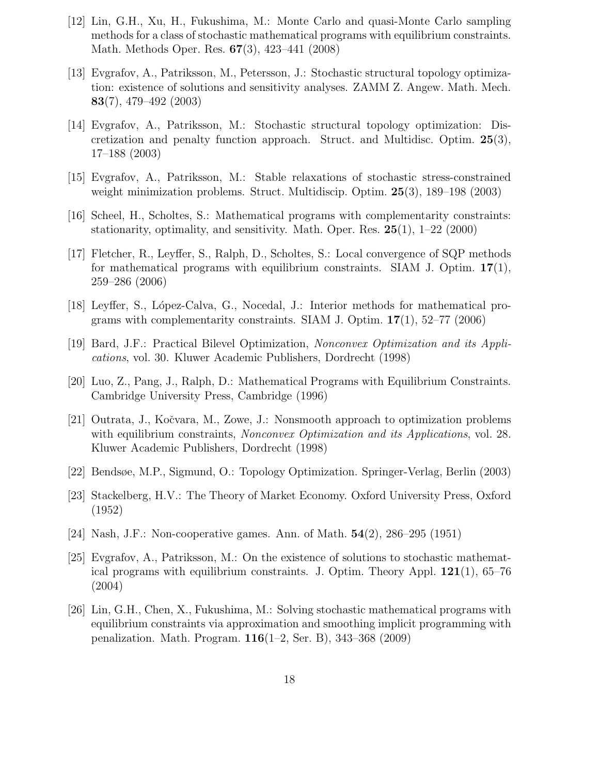- [12] Lin, G.H., Xu, H., Fukushima, M.: Monte Carlo and quasi-Monte Carlo sampling methods for a class of stochastic mathematical programs with equilibrium constraints. Math. Methods Oper. Res. 67(3), 423–441 (2008)
- [13] Evgrafov, A., Patriksson, M., Petersson, J.: Stochastic structural topology optimization: existence of solutions and sensitivity analyses. ZAMM Z. Angew. Math. Mech. 83(7), 479–492 (2003)
- [14] Evgrafov, A., Patriksson, M.: Stochastic structural topology optimization: Discretization and penalty function approach. Struct. and Multidisc. Optim. 25(3), 17–188 (2003)
- [15] Evgrafov, A., Patriksson, M.: Stable relaxations of stochastic stress-constrained weight minimization problems. Struct. Multidiscip. Optim. 25(3), 189–198 (2003)
- [16] Scheel, H., Scholtes, S.: Mathematical programs with complementarity constraints: stationarity, optimality, and sensitivity. Math. Oper. Res.  $25(1)$ ,  $1-22$  (2000)
- [17] Fletcher, R., Leyffer, S., Ralph, D., Scholtes, S.: Local convergence of SQP methods for mathematical programs with equilibrium constraints. SIAM J. Optim.  $17(1)$ , 259–286 (2006)
- [18] Leyffer, S., López-Calva, G., Nocedal, J.: Interior methods for mathematical programs with complementarity constraints. SIAM J. Optim.  $17(1)$ , 52–77 (2006)
- [19] Bard, J.F.: Practical Bilevel Optimization, Nonconvex Optimization and its Applications, vol. 30. Kluwer Academic Publishers, Dordrecht (1998)
- [20] Luo, Z., Pang, J., Ralph, D.: Mathematical Programs with Equilibrium Constraints. Cambridge University Press, Cambridge (1996)
- [21] Outrata, J., Kočvara, M., Zowe, J.: Nonsmooth approach to optimization problems with equilibrium constraints, *Nonconvex Optimization and its Applications*, vol. 28. Kluwer Academic Publishers, Dordrecht (1998)
- [22] Bendsøe, M.P., Sigmund, O.: Topology Optimization. Springer-Verlag, Berlin (2003)
- [23] Stackelberg, H.V.: The Theory of Market Economy. Oxford University Press, Oxford (1952)
- [24] Nash, J.F.: Non-cooperative games. Ann. of Math. 54(2), 286–295 (1951)
- [25] Evgrafov, A., Patriksson, M.: On the existence of solutions to stochastic mathematical programs with equilibrium constraints. J. Optim. Theory Appl.  $121(1)$ , 65–76 (2004)
- [26] Lin, G.H., Chen, X., Fukushima, M.: Solving stochastic mathematical programs with equilibrium constraints via approximation and smoothing implicit programming with penalization. Math. Program. 116(1–2, Ser. B), 343–368 (2009)